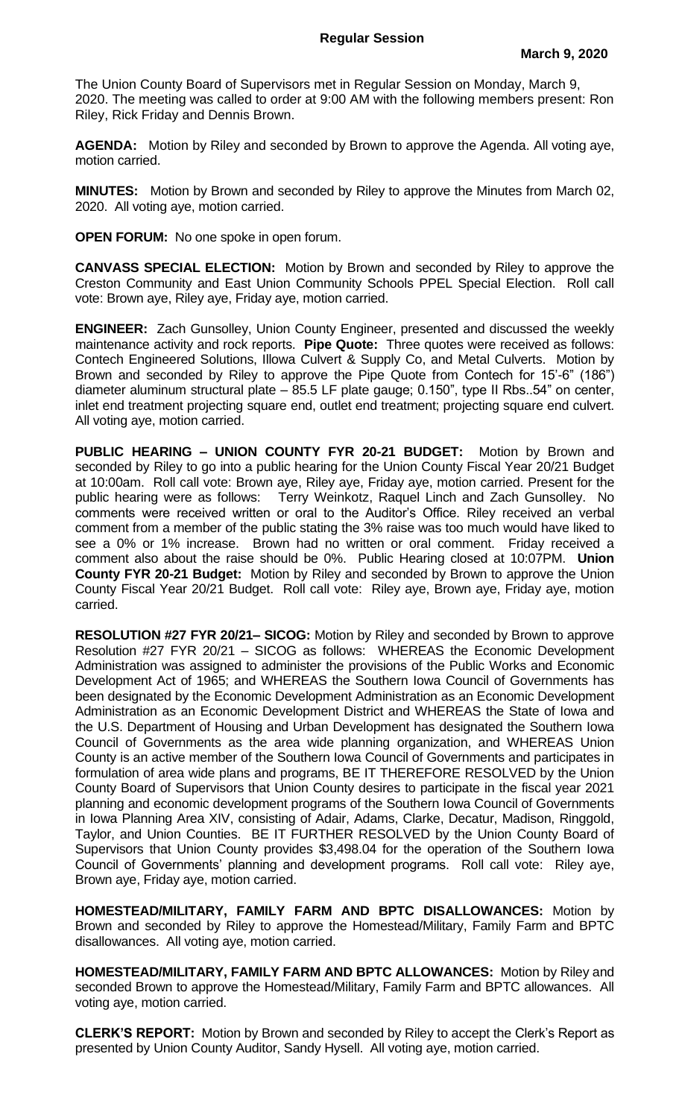The Union County Board of Supervisors met in Regular Session on Monday, March 9, 2020. The meeting was called to order at 9:00 AM with the following members present: Ron Riley, Rick Friday and Dennis Brown.

**AGENDA:** Motion by Riley and seconded by Brown to approve the Agenda. All voting aye, motion carried.

**MINUTES:** Motion by Brown and seconded by Riley to approve the Minutes from March 02, 2020. All voting aye, motion carried.

**OPEN FORUM:** No one spoke in open forum.

**CANVASS SPECIAL ELECTION:** Motion by Brown and seconded by Riley to approve the Creston Community and East Union Community Schools PPEL Special Election. Roll call vote: Brown aye, Riley aye, Friday aye, motion carried.

**ENGINEER:** Zach Gunsolley, Union County Engineer, presented and discussed the weekly maintenance activity and rock reports. **Pipe Quote:** Three quotes were received as follows: Contech Engineered Solutions, Illowa Culvert & Supply Co, and Metal Culverts. Motion by Brown and seconded by Riley to approve the Pipe Quote from Contech for 15'-6" (186") diameter aluminum structural plate – 85.5 LF plate gauge; 0.150", type II Rbs..54" on center, inlet end treatment projecting square end, outlet end treatment; projecting square end culvert. All voting aye, motion carried.

**PUBLIC HEARING – UNION COUNTY FYR 20-21 BUDGET:** Motion by Brown and seconded by Riley to go into a public hearing for the Union County Fiscal Year 20/21 Budget at 10:00am. Roll call vote: Brown aye, Riley aye, Friday aye, motion carried. Present for the public hearing were as follows: Terry Weinkotz, Raquel Linch and Zach Gunsolley. No comments were received written or oral to the Auditor's Office. Riley received an verbal comment from a member of the public stating the 3% raise was too much would have liked to see a 0% or 1% increase. Brown had no written or oral comment. Friday received a comment also about the raise should be 0%. Public Hearing closed at 10:07PM. **Union County FYR 20-21 Budget:** Motion by Riley and seconded by Brown to approve the Union County Fiscal Year 20/21 Budget. Roll call vote: Riley aye, Brown aye, Friday aye, motion carried.

**RESOLUTION #27 FYR 20/21– SICOG:** Motion by Riley and seconded by Brown to approve Resolution #27 FYR 20/21 – SICOG as follows: WHEREAS the Economic Development Administration was assigned to administer the provisions of the Public Works and Economic Development Act of 1965; and WHEREAS the Southern Iowa Council of Governments has been designated by the Economic Development Administration as an Economic Development Administration as an Economic Development District and WHEREAS the State of Iowa and the U.S. Department of Housing and Urban Development has designated the Southern Iowa Council of Governments as the area wide planning organization, and WHEREAS Union County is an active member of the Southern Iowa Council of Governments and participates in formulation of area wide plans and programs, BE IT THEREFORE RESOLVED by the Union County Board of Supervisors that Union County desires to participate in the fiscal year 2021 planning and economic development programs of the Southern Iowa Council of Governments in Iowa Planning Area XIV, consisting of Adair, Adams, Clarke, Decatur, Madison, Ringgold, Taylor, and Union Counties. BE IT FURTHER RESOLVED by the Union County Board of Supervisors that Union County provides \$3,498.04 for the operation of the Southern Iowa Council of Governments' planning and development programs. Roll call vote: Riley aye, Brown aye, Friday aye, motion carried.

**HOMESTEAD/MILITARY, FAMILY FARM AND BPTC DISALLOWANCES:** Motion by Brown and seconded by Riley to approve the Homestead/Military, Family Farm and BPTC disallowances. All voting aye, motion carried.

**HOMESTEAD/MILITARY, FAMILY FARM AND BPTC ALLOWANCES:** Motion by Riley and seconded Brown to approve the Homestead/Military, Family Farm and BPTC allowances. All voting aye, motion carried.

**CLERK'S REPORT:** Motion by Brown and seconded by Riley to accept the Clerk's Report as presented by Union County Auditor, Sandy Hysell. All voting aye, motion carried.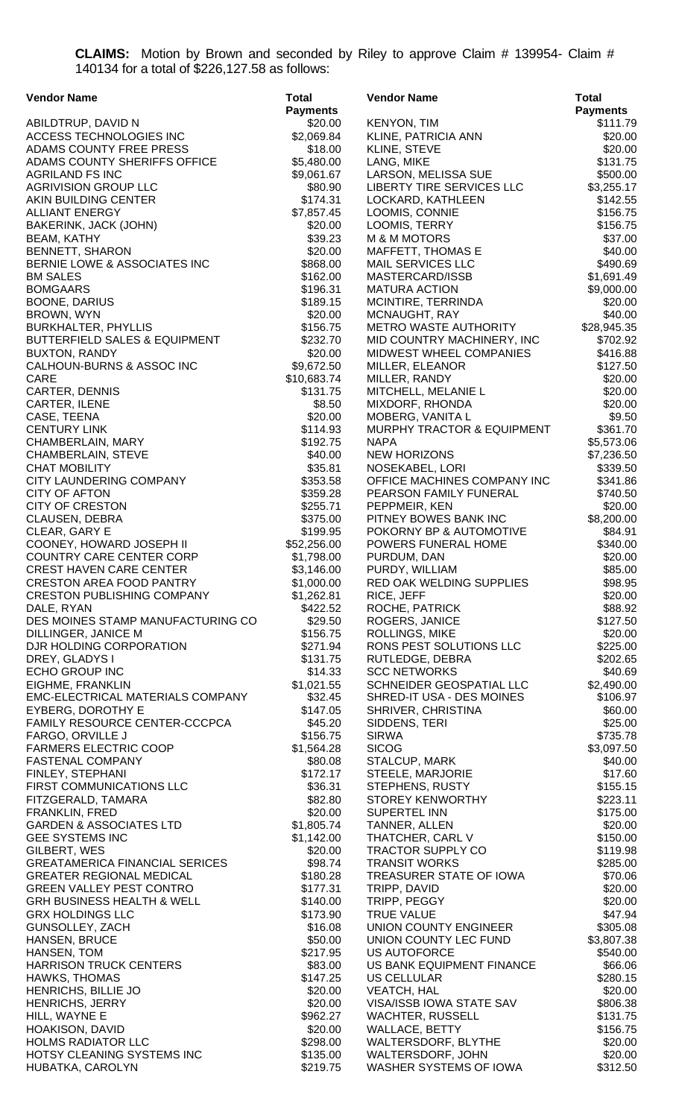**CLAIMS:** Motion by Brown and seconded by Riley to approve Claim # 139954- Claim # 140134 for a total of \$226,127.58 as follows:

| <b>Vendor Name</b>                                   | <b>Total</b>          | <b>Vendor Name</b>                             | <b>Total</b>         |
|------------------------------------------------------|-----------------------|------------------------------------------------|----------------------|
|                                                      | <b>Payments</b>       |                                                | <b>Payments</b>      |
| ABILDTRUP, DAVID N                                   | \$20.00               | <b>KENYON, TIM</b>                             | \$111.79             |
| ACCESS TECHNOLOGIES INC                              | \$2,069.84            | KLINE, PATRICIA ANN                            | \$20.00              |
| ADAMS COUNTY FREE PRESS                              | \$18.00               | KLINE, STEVE                                   | \$20.00              |
| ADAMS COUNTY SHERIFFS OFFICE                         | \$5,480.00            | LANG, MIKE                                     | \$131.75             |
| <b>AGRILAND FS INC</b>                               | \$9,061.67            | LARSON, MELISSA SUE                            | \$500.00             |
| <b>AGRIVISION GROUP LLC</b>                          | \$80.90               | LIBERTY TIRE SERVICES LLC                      | \$3,255.17           |
| AKIN BUILDING CENTER                                 | \$174.31              | LOCKARD, KATHLEEN                              | \$142.55             |
| <b>ALLIANT ENERGY</b>                                | \$7,857.45            | LOOMIS, CONNIE                                 | \$156.75             |
| BAKERINK, JACK (JOHN)<br><b>BEAM, KATHY</b>          | \$20.00<br>\$39.23    | LOOMIS, TERRY<br>M & M MOTORS                  | \$156.75<br>\$37.00  |
| <b>BENNETT, SHARON</b>                               | \$20.00               | MAFFETT, THOMAS E                              | \$40.00              |
| BERNIE LOWE & ASSOCIATES INC                         | \$868.00              | MAIL SERVICES LLC                              | \$490.69             |
| <b>BM SALES</b>                                      | \$162.00              | MASTERCARD/ISSB                                | \$1,691.49           |
| <b>BOMGAARS</b>                                      | \$196.31              | <b>MATURA ACTION</b>                           | \$9,000.00           |
| <b>BOONE, DARIUS</b>                                 | \$189.15              | MCINTIRE, TERRINDA                             | \$20.00              |
| BROWN, WYN                                           | \$20.00               | MCNAUGHT, RAY                                  | \$40.00              |
| <b>BURKHALTER, PHYLLIS</b>                           | \$156.75              | METRO WASTE AUTHORITY                          | \$28,945.35          |
| <b>BUTTERFIELD SALES &amp; EQUIPMENT</b>             | \$232.70              | MID COUNTRY MACHINERY, INC                     | \$702.92             |
| BUXTON, RANDY                                        | \$20.00               | MIDWEST WHEEL COMPANIES                        | \$416.88             |
| CALHOUN-BURNS & ASSOC INC                            | \$9,672.50            | MILLER, ELEANOR                                | \$127.50             |
| CARE                                                 | \$10,683.74           | MILLER, RANDY                                  | \$20.00              |
| <b>CARTER, DENNIS</b>                                | \$131.75              | MITCHELL, MELANIE L                            | \$20.00              |
| CARTER, ILENE                                        | \$8.50                | MIXDORF, RHONDA                                | \$20.00              |
| CASE, TEENA                                          | \$20.00               | MOBERG, VANITA L                               | \$9.50               |
| <b>CENTURY LINK</b>                                  | \$114.93              | MURPHY TRACTOR & EQUIPMENT                     | \$361.70             |
| CHAMBERLAIN, MARY                                    | \$192.75              | <b>NAPA</b>                                    | \$5,573.06           |
| CHAMBERLAIN, STEVE                                   | \$40.00               | <b>NEW HORIZONS</b>                            | \$7,236.50           |
| <b>CHAT MOBILITY</b><br>CITY LAUNDERING COMPANY      | \$35.81<br>\$353.58   | NOSEKABEL, LORI<br>OFFICE MACHINES COMPANY INC | \$339.50<br>\$341.86 |
| <b>CITY OF AFTON</b>                                 | \$359.28              | PEARSON FAMILY FUNERAL                         | \$740.50             |
| <b>CITY OF CRESTON</b>                               | \$255.71              | PEPPMEIR, KEN                                  | \$20.00              |
| CLAUSEN, DEBRA                                       | \$375.00              | PITNEY BOWES BANK INC                          | \$8,200.00           |
| CLEAR, GARY E                                        | \$199.95              | POKORNY BP & AUTOMOTIVE                        | \$84.91              |
| COONEY, HOWARD JOSEPH II                             | \$52,256.00           | POWERS FUNERAL HOME                            | \$340.00             |
| COUNTRY CARE CENTER CORP                             | \$1,798.00            | PURDUM, DAN                                    | \$20.00              |
| <b>CREST HAVEN CARE CENTER</b>                       | \$3,146.00            | PURDY, WILLIAM                                 | \$85.00              |
| <b>CRESTON AREA FOOD PANTRY</b>                      | \$1,000.00            | RED OAK WELDING SUPPLIES                       | \$98.95              |
| <b>CRESTON PUBLISHING COMPANY</b>                    | \$1,262.81            | RICE, JEFF                                     | \$20.00              |
| DALE, RYAN                                           | \$422.52              | ROCHE, PATRICK                                 | \$88.92              |
| DES MOINES STAMP MANUFACTURING CO                    | \$29.50<br>\$156.75   | ROGERS, JANICE                                 | \$127.50             |
| DILLINGER, JANICE M<br>DJR HOLDING CORPORATION       | \$271.94              | ROLLINGS, MIKE<br>RONS PEST SOLUTIONS LLC      | \$20.00<br>\$225.00  |
| DREY, GLADYS I                                       | \$131.75              | RUTLEDGE, DEBRA                                | \$202.65             |
| ECHO GROUP INC                                       | \$14.33               | <b>SCC NETWORKS</b>                            | \$40.69              |
| EIGHME, FRANKLIN                                     | \$1,021.55            | SCHNEIDER GEOSPATIAL LLC                       | \$2,490.00           |
| EMC-ELECTRICAL MATERIALS COMPANY                     | \$32.45               | SHRED-IT USA - DES MOINES                      | \$106.97             |
| EYBERG, DOROTHY E                                    | \$147.05              | SHRIVER, CHRISTINA                             | \$60.00              |
| FAMILY RESOURCE CENTER-CCCPCA                        | \$45.20               | SIDDENS, TERI                                  | \$25.00              |
| FARGO, ORVILLE J                                     | \$156.75              | <b>SIRWA</b>                                   | \$735.78             |
| <b>FARMERS ELECTRIC COOP</b>                         | \$1,564.28            | <b>SICOG</b>                                   | \$3,097.50           |
| <b>FASTENAL COMPANY</b>                              | \$80.08               | STALCUP, MARK                                  | \$40.00              |
| FINLEY, STEPHANI                                     | \$172.17              | STEELE, MARJORIE                               | \$17.60              |
| FIRST COMMUNICATIONS LLC                             | \$36.31               | STEPHENS, RUSTY                                | \$155.15             |
| FITZGERALD, TAMARA                                   | \$82.80               | <b>STOREY KENWORTHY</b>                        | \$223.11             |
| FRANKLIN, FRED<br><b>GARDEN &amp; ASSOCIATES LTD</b> | \$20.00<br>\$1,805.74 | <b>SUPERTEL INN</b><br>TANNER, ALLEN           | \$175.00<br>\$20.00  |
| <b>GEE SYSTEMS INC</b>                               | \$1,142.00            | THATCHER, CARL V                               | \$150.00             |
| GILBERT, WES                                         | \$20.00               | <b>TRACTOR SUPPLY CO</b>                       | \$119.98             |
| <b>GREATAMERICA FINANCIAL SERICES</b>                | \$98.74               | <b>TRANSIT WORKS</b>                           | \$285.00             |
| <b>GREATER REGIONAL MEDICAL</b>                      | \$180.28              | TREASURER STATE OF IOWA                        | \$70.06              |
| <b>GREEN VALLEY PEST CONTRO</b>                      | \$177.31              | TRIPP, DAVID                                   | \$20.00              |
| <b>GRH BUSINESS HEALTH &amp; WELL</b>                | \$140.00              | TRIPP, PEGGY                                   | \$20.00              |
| <b>GRX HOLDINGS LLC</b>                              | \$173.90              | <b>TRUE VALUE</b>                              | \$47.94              |
| GUNSOLLEY, ZACH                                      | \$16.08               | UNION COUNTY ENGINEER                          | \$305.08             |
| HANSEN, BRUCE                                        | \$50.00               | UNION COUNTY LEC FUND                          | \$3,807.38           |
| HANSEN, TOM                                          | \$217.95              | <b>US AUTOFORCE</b>                            | \$540.00             |
| <b>HARRISON TRUCK CENTERS</b>                        | \$83.00               | US BANK EQUIPMENT FINANCE                      | \$66.06              |
| <b>HAWKS, THOMAS</b><br>HENRICHS, BILLIE JO          | \$147.25<br>\$20.00   | <b>US CELLULAR</b>                             | \$280.15<br>\$20.00  |
| <b>HENRICHS, JERRY</b>                               | \$20.00               | <b>VEATCH, HAL</b><br>VISA/ISSB IOWA STATE SAV | \$806.38             |
| HILL, WAYNE E                                        | \$962.27              | WACHTER, RUSSELL                               | \$131.75             |
| HOAKISON, DAVID                                      | \$20.00               | WALLACE, BETTY                                 | \$156.75             |
| <b>HOLMS RADIATOR LLC</b>                            | \$298.00              | WALTERSDORF, BLYTHE                            | \$20.00              |
| HOTSY CLEANING SYSTEMS INC                           | \$135.00              | WALTERSDORF, JOHN                              | \$20.00              |
| HUBATKA, CAROLYN                                     | \$219.75              | WASHER SYSTEMS OF IOWA                         | \$312.50             |